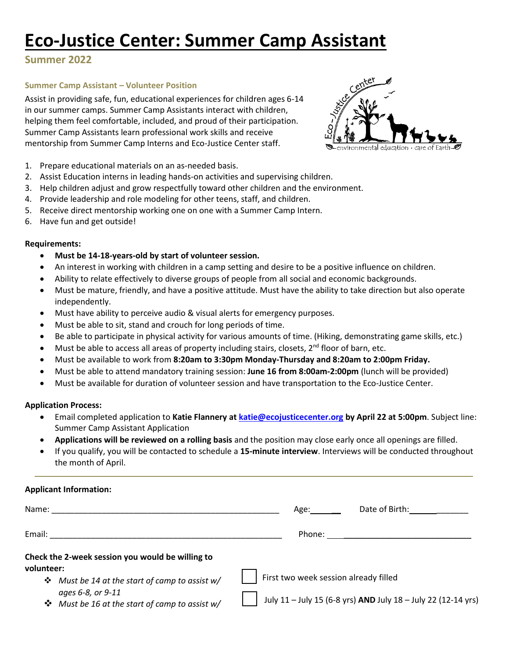# **Eco-Justice Center: Summer Camp Assistant**

## **Summer 2022**

### **Summer Camp Assistant – Volunteer Position**

Assist in providing safe, fun, educational experiences for children ages 6-14 in our summer camps. Summer Camp Assistants interact with children, helping them feel comfortable, included, and proud of their participation. Summer Camp Assistants learn professional work skills and receive mentorship from Summer Camp Interns and Eco-Justice Center staff.



- 2. Assist Education interns in leading hands-on activities and supervising children.
- 3. Help children adjust and grow respectfully toward other children and the environment.
- 4. Provide leadership and role modeling for other teens, staff, and children.
- 5. Receive direct mentorship working one on one with a Summer Camp Intern.
- 6. Have fun and get outside!

#### **Requirements:**

- **Must be 14-18-years-old by start of volunteer session.**
- An interest in working with children in a camp setting and desire to be a positive influence on children.
- Ability to relate effectively to diverse groups of people from all social and economic backgrounds.
- Must be mature, friendly, and have a positive attitude. Must have the ability to take direction but also operate independently.
- Must have ability to perceive audio & visual alerts for emergency purposes.
- Must be able to sit, stand and crouch for long periods of time.
- Be able to participate in physical activity for various amounts of time. (Hiking, demonstrating game skills, etc.)
- Must be able to access all areas of property including stairs, closets,  $2^{nd}$  floor of barn, etc.
- Must be available to work from **8:20am to 3:30pm Monday-Thursday and 8:20am to 2:00pm Friday.**
- Must be able to attend mandatory training session: **June 16 from 8:00am-2:00pm** (lunch will be provided)
- Must be available for duration of volunteer session and have transportation to the Eco-Justice Center.

#### **Application Process:**

- Email completed application to **Katie Flannery at [katie@ecojusticecenter.org](mailto:katie@ecojusticecenter.org) by April 22 at 5:00pm**. Subject line: Summer Camp Assistant Application
- **Applications will be reviewed on a rolling basis** and the position may close early once all openings are filled.
- If you qualify, you will be contacted to schedule a **15-minute interview**. Interviews will be conducted throughout the month of April.

## **Applicant Information:**

| Name:                                                               | Date of Birth:<br>Age:                                        |
|---------------------------------------------------------------------|---------------------------------------------------------------|
| Email:                                                              | Phone:                                                        |
| Check the 2-week session you would be willing to<br>volunteer:      |                                                               |
| * Must be 14 at the start of camp to assist w/                      | First two week session already filled                         |
| ages 6-8, or 9-11<br>* Must be 16 at the start of camp to assist w/ | July 11 - July 15 (6-8 yrs) AND July 18 - July 22 (12-14 yrs) |

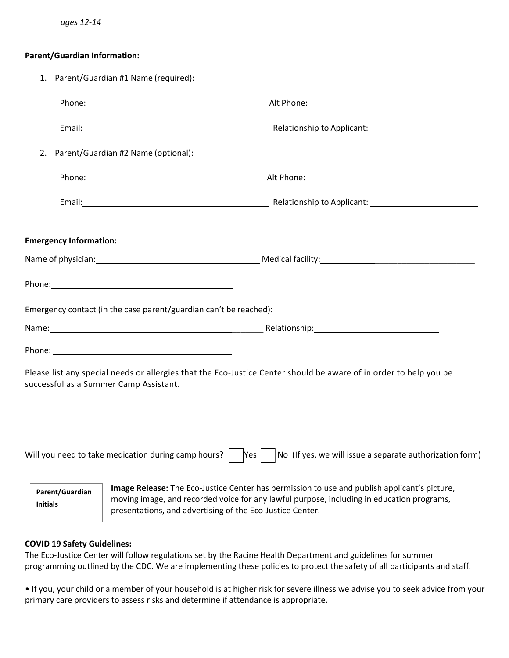#### **Parent/Guardian Information:**

| 2.                                 |                                                                                                                                                                                                                                                        |
|------------------------------------|--------------------------------------------------------------------------------------------------------------------------------------------------------------------------------------------------------------------------------------------------------|
|                                    |                                                                                                                                                                                                                                                        |
|                                    |                                                                                                                                                                                                                                                        |
| <b>Emergency Information:</b>      |                                                                                                                                                                                                                                                        |
|                                    |                                                                                                                                                                                                                                                        |
|                                    |                                                                                                                                                                                                                                                        |
|                                    | Emergency contact (in the case parent/guardian can't be reached):                                                                                                                                                                                      |
|                                    |                                                                                                                                                                                                                                                        |
|                                    |                                                                                                                                                                                                                                                        |
|                                    | Please list any special needs or allergies that the Eco-Justice Center should be aware of in order to help you be<br>successful as a Summer Camp Assistant.                                                                                            |
|                                    | No (If yes, we will issue a separate authorization form)<br>Will you need to take medication during camp hours?<br> Yes                                                                                                                                |
| Parent/Guardian<br><b>Initials</b> | Image Release: The Eco-Justice Center has permission to use and publish applicant's picture,<br>moving image, and recorded voice for any lawful purpose, including in education programs,<br>presentations, and advertising of the Eco-Justice Center. |

## **COVID 19 Safety Guidelines:**

The Eco-Justice Center will follow regulations set by the Racine Health Department and guidelines for summer programming outlined by the CDC. We are implementing these policies to protect the safety of all participants and staff.

• If you, your child or a member of your household is at higher risk for severe illness we advise you to seek advice from your primary care providers to assess risks and determine if attendance is appropriate.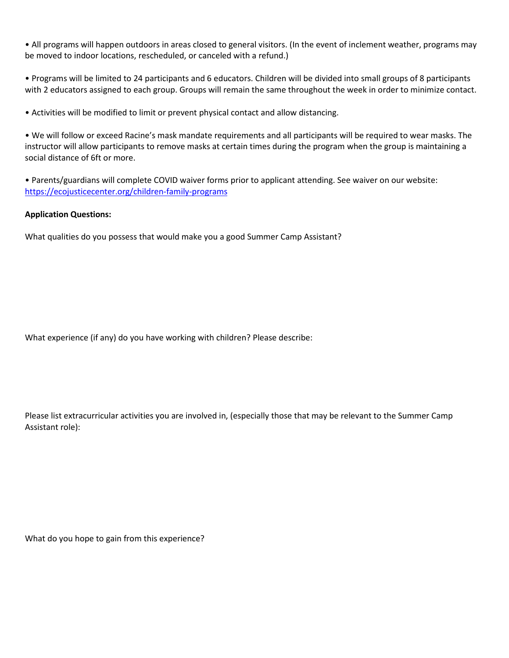• All programs will happen outdoors in areas closed to general visitors. (In the event of inclement weather, programs may be moved to indoor locations, rescheduled, or canceled with a refund.)

• Programs will be limited to 24 participants and 6 educators. Children will be divided into small groups of 8 participants with 2 educators assigned to each group. Groups will remain the same throughout the week in order to minimize contact.

• Activities will be modified to limit or prevent physical contact and allow distancing.

• We will follow or exceed Racine's mask mandate requirements and all participants will be required to wear masks. The instructor will allow participants to remove masks at certain times during the program when the group is maintaining a social distance of 6ft or more.

• Parents/guardians will complete COVID waiver forms prior to applicant attending. See waiver on our website: <https://ecojusticecenter.org/children-family-programs>

#### **Application Questions:**

What qualities do you possess that would make you a good Summer Camp Assistant?

What experience (if any) do you have working with children? Please describe:

Please list extracurricular activities you are involved in, (especially those that may be relevant to the Summer Camp Assistant role):

What do you hope to gain from this experience?